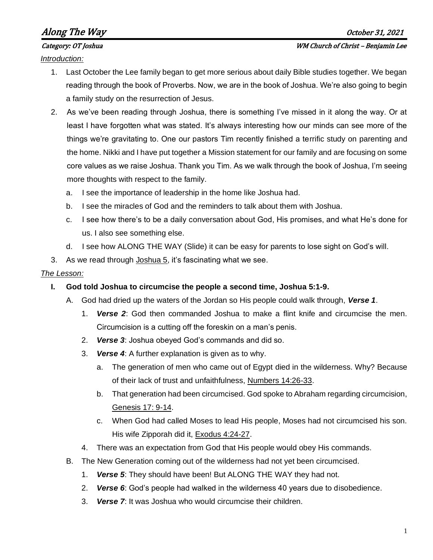# Along The Way  $\overline{a}$

#### Category: OT Joshua WM Church of Christ – Benjamin Lee

*Introduction:*

- 1. Last October the Lee family began to get more serious about daily Bible studies together. We began reading through the book of Proverbs. Now, we are in the book of Joshua. We're also going to begin a family study on the resurrection of Jesus.
- 2. As we've been reading through Joshua, there is something I've missed in it along the way. Or at least I have forgotten what was stated. It's always interesting how our minds can see more of the things we're gravitating to. One our pastors Tim recently finished a terrific study on parenting and the home. Nikki and I have put together a Mission statement for our family and are focusing on some core values as we raise Joshua. Thank you Tim. As we walk through the book of Joshua, I'm seeing more thoughts with respect to the family.
	- a. I see the importance of leadership in the home like Joshua had.
	- b. I see the miracles of God and the reminders to talk about them with Joshua.
	- c. I see how there's to be a daily conversation about God, His promises, and what He's done for us. I also see something else.
	- d. I see how ALONG THE WAY (Slide) it can be easy for parents to lose sight on God's will.
- 3. As we read through Joshua 5, it's fascinating what we see.

### *The Lesson:*

- **I. God told Joshua to circumcise the people a second time, Joshua 5:1-9.**
	- A. God had dried up the waters of the Jordan so His people could walk through, *Verse 1*.
		- 1. *Verse 2*: God then commanded Joshua to make a flint knife and circumcise the men. Circumcision is a cutting off the foreskin on a man's penis.
		- 2. *Verse 3*: Joshua obeyed God's commands and did so.
		- 3. *Verse 4*: A further explanation is given as to why.
			- a. The generation of men who came out of Egypt died in the wilderness. Why? Because of their lack of trust and unfaithfulness, Numbers 14:26-33.
			- b. That generation had been circumcised. God spoke to Abraham regarding circumcision, Genesis 17: 9-14.
			- c. When God had called Moses to lead His people, Moses had not circumcised his son. His wife Zipporah did it, Exodus 4:24-27.
		- 4. There was an expectation from God that His people would obey His commands.
	- B. The New Generation coming out of the wilderness had not yet been circumcised.
		- 1. *Verse 5*: They should have been! But ALONG THE WAY they had not.
		- 2. *Verse 6*: God's people had walked in the wilderness 40 years due to disobedience.
		- 3. *Verse 7*: It was Joshua who would circumcise their children.